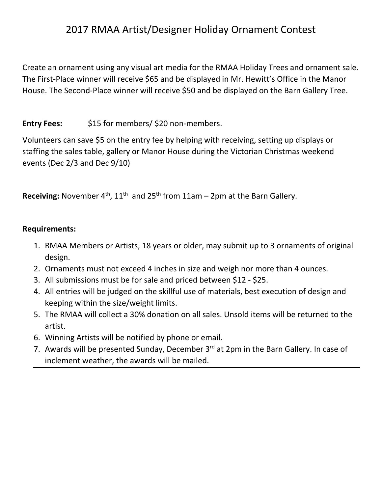## 2017 RMAA Artist/Designer Holiday Ornament Contest

Create an ornament using any visual art media for the RMAA Holiday Trees and ornament sale. The First-Place winner will receive \$65 and be displayed in Mr. Hewitt's Office in the Manor House. The Second-Place winner will receive \$50 and be displayed on the Barn Gallery Tree.

## Entry Fees: \$15 for members/ \$20 non-members.

Volunteers can save \$5 on the entry fee by helping with receiving, setting up displays or staffing the sales table, gallery or Manor House during the Victorian Christmas weekend events (Dec 2/3 and Dec 9/10)

**Receiving:** November  $4<sup>th</sup>$ ,  $11<sup>th</sup>$  and  $25<sup>th</sup>$  from  $11am - 2pm$  at the Barn Gallery.

## **Requirements:**

- 1. RMAA Members or Artists, 18 years or older, may submit up to 3 ornaments of original design.
- 2. Ornaments must not exceed 4 inches in size and weigh nor more than 4 ounces.
- 3. All submissions must be for sale and priced between \$12 \$25.
- 4. All entries will be judged on the skillful use of materials, best execution of design and keeping within the size/weight limits.
- 5. The RMAA will collect a 30% donation on all sales. Unsold items will be returned to the artist.
- 6. Winning Artists will be notified by phone or email.
- 7. Awards will be presented Sunday, December  $3^{rd}$  at 2pm in the Barn Gallery. In case of inclement weather, the awards will be mailed.